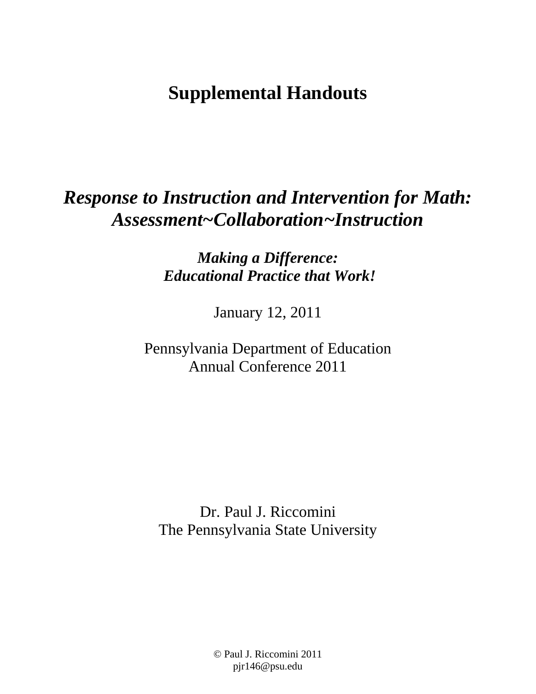# **Supplemental Handouts**

# *Response to Instruction and Intervention for Math: Assessment~Collaboration~Instruction*

*Making a Difference: Educational Practice that Work!* 

January 12, 2011

Pennsylvania Department of Education Annual Conference 2011

Dr. Paul J. Riccomini The Pennsylvania State University

> © Paul J. Riccomini 2011 pjr146@psu.edu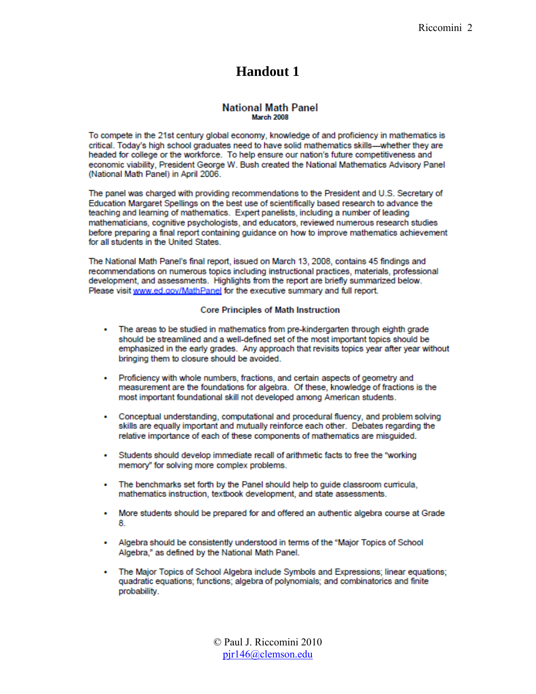### Handout 1

### **National Math Panel** March 2008

To compete in the 21st century global economy, knowledge of and proficiency in mathematics is critical. Today's high school graduates need to have solid mathematics skills--whether they are headed for college or the workforce. To help ensure our nation's future competitiveness and economic viability, President George W. Bush created the National Mathematics Advisory Panel (National Math Panel) in April 2006.

The panel was charged with providing recommendations to the President and U.S. Secretary of Education Margaret Spellings on the best use of scientifically based research to advance the teaching and learning of mathematics. Expert panelists, including a number of leading mathematicians, cognitive psychologists, and educators, reviewed numerous research studies before preparing a final report containing guidance on how to improve mathematics achievement for all students in the United States.

The National Math Panel's final report, issued on March 13, 2008, contains 45 findings and recommendations on numerous topics including instructional practices, materials, professional development, and assessments. Highlights from the report are briefly summarized below. Please visit www.ed.gov/MathPanel for the executive summary and full report.

#### **Core Principles of Math Instruction**

- The areas to be studied in mathematics from pre-kindergarten through eighth grade should be streamlined and a well-defined set of the most important topics should be emphasized in the early grades. Any approach that revisits topics year after year without bringing them to closure should be avoided.
- Proficiency with whole numbers, fractions, and certain aspects of geometry and measurement are the foundations for algebra. Of these, knowledge of fractions is the most important foundational skill not developed among American students.
- Conceptual understanding, computational and procedural fluency, and problem solving skills are equally important and mutually reinforce each other. Debates regarding the relative importance of each of these components of mathematics are misguided.
- Students should develop immediate recall of arithmetic facts to free the "working" memory" for solving more complex problems.
- The benchmarks set forth by the Panel should help to guide classroom curricula, mathematics instruction, textbook development, and state assessments.
- More students should be prepared for and offered an authentic algebra course at Grade 8.
- Algebra should be consistently understood in terms of the "Major Topics of School Algebra," as defined by the National Math Panel.
- The Major Topics of School Algebra include Symbols and Expressions; linear equations; quadratic equations; functions; algebra of polynomials; and combinatorics and finite probability.

© Paul J. Riccomini 2010  $pir146@clemson.edu$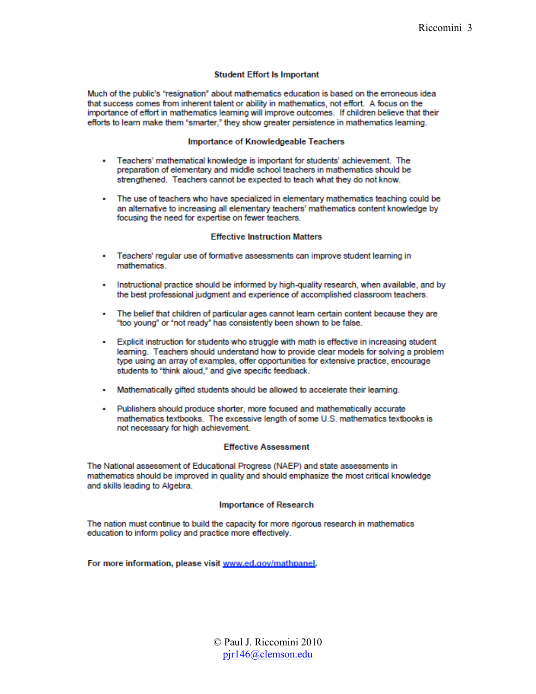### **Student Effort Is Important**

Much of the public's "resignation" about mathematics education is based on the erroneous idea that success comes from inherent talent or ability in mathematics, not effort. A focus on the importance of effort in mathematics learning will improve outcomes. If children believe that their efforts to learn make them "smarter." they show greater persistence in mathematics learning.

#### **Importance of Knowledgeable Teachers**

- Teachers' mathematical knowledge is important for students' achievement. The preparation of elementary and middle school teachers in mathematics should be strengthened. Teachers cannot be expected to teach what they do not know.
- The use of teachers who have specialized in elementary mathematics teaching could be an alternative to increasing all elementary teachers' mathematics content knowledge by focusing the need for expertise on fewer teachers.

#### **Effective Instruction Matters**

- Teachers' regular use of formative assessments can improve student learning in mathematics.
- Instructional practice should be informed by high-quality research, when available, and by the best professional judgment and experience of accomplished classroom teachers.
- The belief that children of particular ages cannot learn certain content because they are "too young" or "not ready" has consistently been shown to be false.
- Explicit instruction for students who struggle with math is effective in increasing student learning. Teachers should understand how to provide clear models for solving a problem type using an array of examples, offer opportunities for extensive practice, encourage students to "think aloud," and give specific feedback.
- Mathematically gifted students should be allowed to accelerate their learning.
- Publishers should produce shorter, more focused and mathematically accurate mathematics textbooks. The excessive length of some U.S. mathematics textbooks is not necessary for high achievement.

#### **Effective Assessment**

The National assessment of Educational Progress (NAEP) and state assessments in mathematics should be improved in quality and should emphasize the most critical knowledge and skills leading to Algebra.

#### **Importance of Research**

The nation must continue to build the capacity for more rigorous research in mathematics education to inform policy and practice more effectively.

For more information, please visit www.ed.gov/mathpanel.

© Paul J. Riccomini 2010  $pir146@clemson.edu$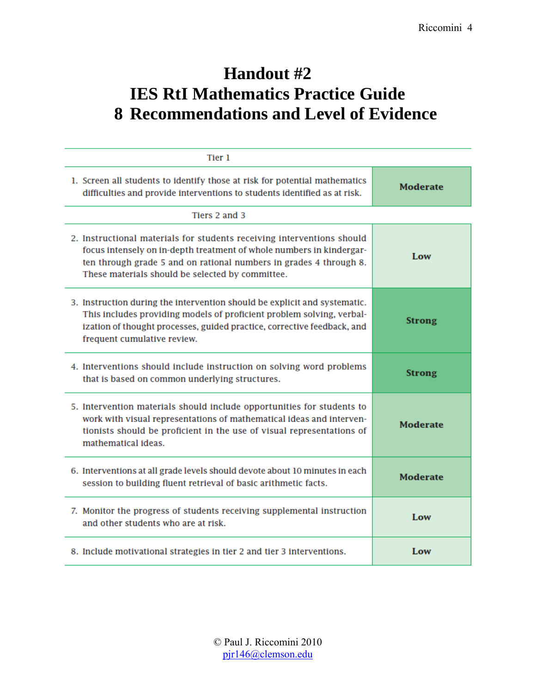## **Handout #2 IES RtI Mathematics Practice Guide 8 Recommendations and Level of Evidence**

| Tier 1                                                                                                                                                                                                                                                                   |                 |
|--------------------------------------------------------------------------------------------------------------------------------------------------------------------------------------------------------------------------------------------------------------------------|-----------------|
| 1. Screen all students to identify those at risk for potential mathematics<br>difficulties and provide interventions to students identified as at risk.                                                                                                                  | <b>Moderate</b> |
| Tiers 2 and 3                                                                                                                                                                                                                                                            |                 |
| 2. Instructional materials for students receiving interventions should<br>focus intensely on in-depth treatment of whole numbers in kindergar-<br>ten through grade 5 and on rational numbers in grades 4 through 8.<br>These materials should be selected by committee. | Low             |
| 3. Instruction during the intervention should be explicit and systematic.<br>This includes providing models of proficient problem solving, verbal-<br>ization of thought processes, guided practice, corrective feedback, and<br>frequent cumulative review.             | <b>Strong</b>   |
| 4. Interventions should include instruction on solving word problems<br>that is based on common underlying structures.                                                                                                                                                   | <b>Strong</b>   |
| 5. Intervention materials should include opportunities for students to<br>work with visual representations of mathematical ideas and interven-<br>tionists should be proficient in the use of visual representations of<br>mathematical ideas.                           | <b>Moderate</b> |
| 6. Interventions at all grade levels should devote about 10 minutes in each<br>session to building fluent retrieval of basic arithmetic facts.                                                                                                                           | <b>Moderate</b> |
| 7. Monitor the progress of students receiving supplemental instruction<br>and other students who are at risk.                                                                                                                                                            | Low             |
| 8. Include motivational strategies in tier 2 and tier 3 interventions.                                                                                                                                                                                                   | Low             |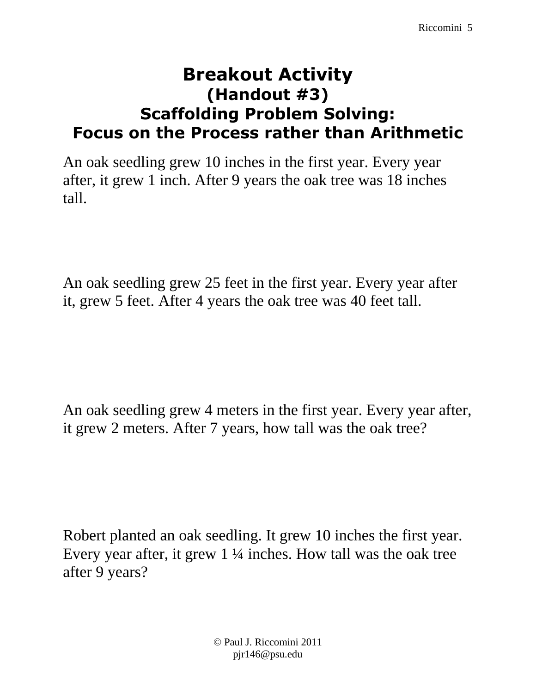### **Breakout Activity (Handout #3) Scaffolding Problem Solving: Focus on the Process rather than Arithmetic**

An oak seedling grew 10 inches in the first year. Every year after, it grew 1 inch. After 9 years the oak tree was 18 inches tall.

An oak seedling grew 25 feet in the first year. Every year after it, grew 5 feet. After 4 years the oak tree was 40 feet tall.

An oak seedling grew 4 meters in the first year. Every year after, it grew 2 meters. After 7 years, how tall was the oak tree?

Robert planted an oak seedling. It grew 10 inches the first year. Every year after, it grew 1 ¼ inches. How tall was the oak tree after 9 years?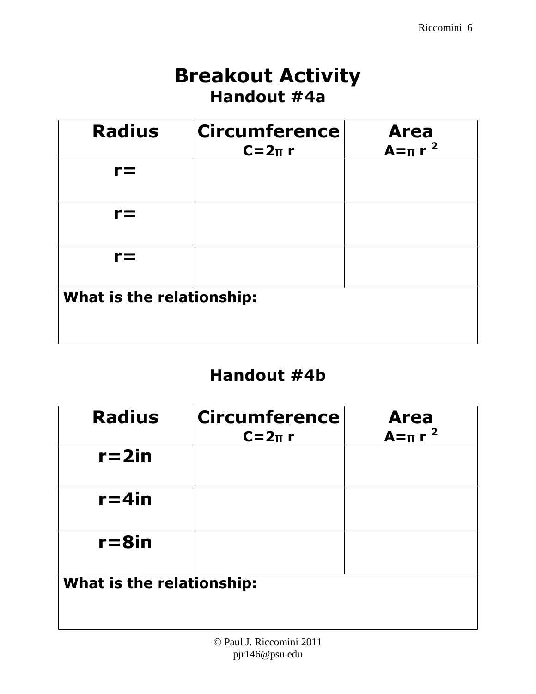# **Breakout Activity Handout #4a**

| <b>Radius</b>             | <b>Circumference</b><br>$C=2\pi r$ | <b>Area</b><br>$A = \pi r^2$ |
|---------------------------|------------------------------------|------------------------------|
| r=                        |                                    |                              |
| r=                        |                                    |                              |
| r=                        |                                    |                              |
| What is the relationship: |                                    |                              |

### **Handout #4b**

| <b>Radius</b>             | <b>Circumference</b><br>$C=2\pi r$ | <b>Area</b><br>$A = \pi r^2$ |
|---------------------------|------------------------------------|------------------------------|
| $r = 2in$                 |                                    |                              |
| $r = 4$ in                |                                    |                              |
| $r = 8$ in                |                                    |                              |
| What is the relationship: |                                    |                              |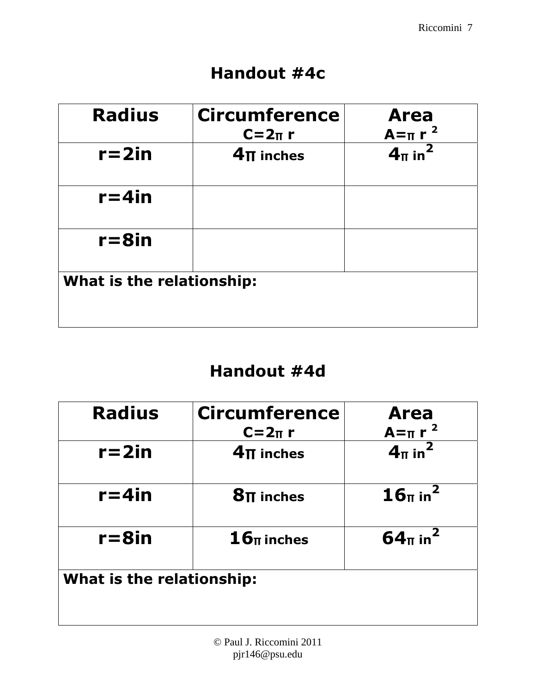### **Handout #4c**

| <b>Radius</b>             | <b>Circumference</b><br>$C=2\pi r$ | <b>Area</b><br>$A = \pi r^2$   |
|---------------------------|------------------------------------|--------------------------------|
| $r = 2in$                 | $4\pi$ inches                      | 4 <sub>π</sub> in <sup>2</sup> |
| $r = 4$ in                |                                    |                                |
| $r = 8$ in                |                                    |                                |
| What is the relationship: |                                    |                                |

# **Handout #4d**

| <b>Radius</b>             | <b>Circumference</b><br>$C=2\pi r$ | <b>Area</b><br>$A = \pi r^2$    |  |
|---------------------------|------------------------------------|---------------------------------|--|
| $r = 2in$                 | $4\pi$ inches                      | 4 <sub>π</sub> in <sup>2</sup>  |  |
| $r = 4$ in                | $8\pi$ inches                      | 16 <sub>π</sub> in <sup>2</sup> |  |
| $r = 8$ in                | $\mathbf{16}_{\text{II}}$ inches   | $64π$ in <sup>2</sup>           |  |
| What is the relationship: |                                    |                                 |  |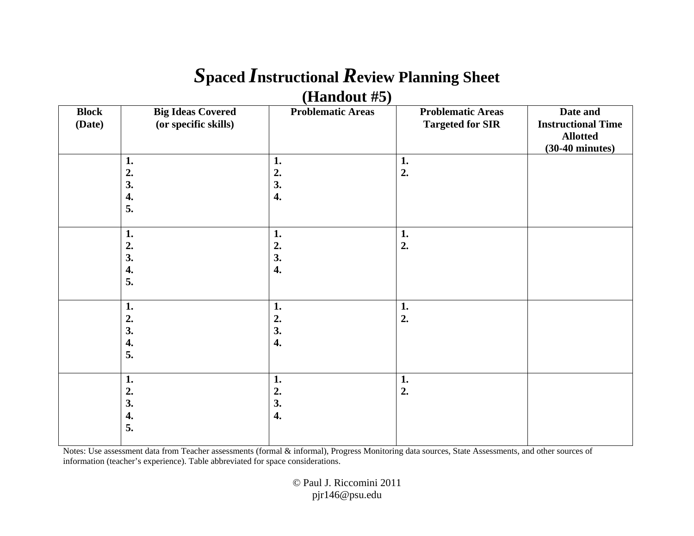### *S***paced** *I***nstructional** *R***eview Planning Sheet (Handout #5)**

|              | (                        |                          |                          |                           |
|--------------|--------------------------|--------------------------|--------------------------|---------------------------|
| <b>Block</b> | <b>Big Ideas Covered</b> | <b>Problematic Areas</b> | <b>Problematic Areas</b> | Date and                  |
| (Date)       | (or specific skills)     |                          | <b>Targeted for SIR</b>  | <b>Instructional Time</b> |
|              |                          |                          |                          | <b>Allotted</b>           |
|              |                          |                          |                          | $(30-40 \text{ minutes})$ |
|              |                          |                          |                          |                           |
|              | 1.                       | 1.                       | 1.                       |                           |
|              | 2.                       | 2.                       | 2.                       |                           |
|              | 3.                       | 3.                       |                          |                           |
|              | 4.                       | 4.                       |                          |                           |
|              | 5.                       |                          |                          |                           |
|              |                          |                          |                          |                           |
|              | 1.                       | 1.                       | 1.                       |                           |
|              | 2.                       | 2.                       | 2.                       |                           |
|              | 3.                       | 3.                       |                          |                           |
|              | 4.                       | 4.                       |                          |                           |
|              |                          |                          |                          |                           |
|              | 5.                       |                          |                          |                           |
|              | 1.                       |                          |                          |                           |
|              |                          | 1.                       | 1.                       |                           |
|              | 2.                       | 2.                       | 2.                       |                           |
|              | 3.                       | 3.                       |                          |                           |
|              | 4.                       | 4.                       |                          |                           |
|              | 5.                       |                          |                          |                           |
|              |                          |                          |                          |                           |
|              | 1.                       | $\mathbf{1}$ .           | 1.                       |                           |
|              | 2.                       | 2.                       | 2.                       |                           |
|              | 3.                       | 3.                       |                          |                           |
|              | 4.                       | 4.                       |                          |                           |
|              | 5.                       |                          |                          |                           |
|              |                          |                          |                          |                           |
|              |                          |                          |                          |                           |

Notes: Use assessment data from Teacher assessments (formal & informal), Progress Monitoring data sources, State Assessments, and other sources of information (teacher's experience). Table abbreviated for space considerations.